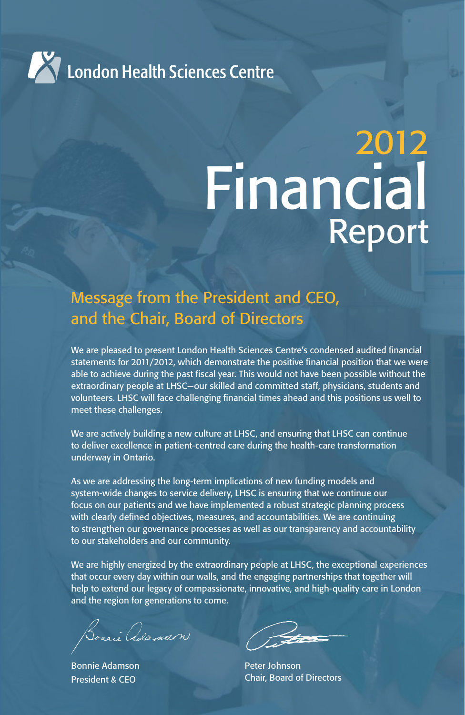

# 2012 Financial Report

# Message from the President and CEO, and the Chair, Board of Directors

We are pleased to present London Health Sciences Centre's condensed audited financial statements for 2011/2012, which demonstrate the positive financial position that we were able to achieve during the past fiscal year. This would not have been possible without the extraordinary people at LHSC—our skilled and committed staff, physicians, students and volunteers. LHSC will face challenging financial times ahead and this positions us well to meet these challenges.

We are actively building a new culture at LHSC, and ensuring that LHSC can continue to deliver excellence in patient-centred care during the health-care transformation underway in Ontario.

As we are addressing the long-term implications of new funding models and system-wide changes to service delivery, LHSC is ensuring that we continue our focus on our patients and we have implemented a robust strategic planning process with clearly defined objectives, measures, and accountabilities. We are continuing to strengthen our governance processes as well as our transparency and accountability to our stakeholders and our community.

We are highly energized by the extraordinary people at LHSC, the exceptional experiences that occur every day within our walls, and the engaging partnerships that together will help to extend our legacy of compassionate, innovative, and high-quality care in London and the region for generations to come.

Boasie Adamson

Bonnie Adamson President & CEO

Peter Johnson Chair, Board of Directors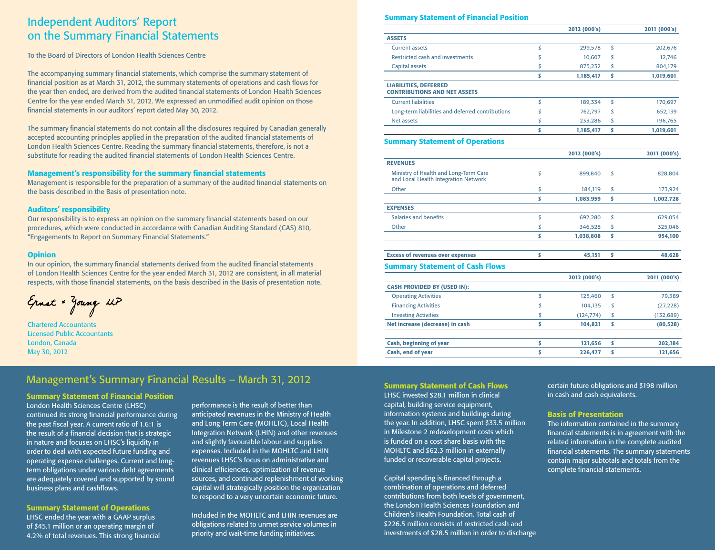# Independent Auditors' Report **Example 2018** Summary Statement of Financial Position on the Summary Financial Statements

To the Board of Directors of London Health Sciences Centre

The accompanying summary financial statements, which comprise the summary statement of financial position as at March 31, 2012, the summary statements of operations and cash flows for the year then ended, are derived from the audited financial statements of London Health Sciences Centre for the year ended March 31, 2012. We expressed an unmodified audit opinion on those financial statements in our auditors' report dated May 30, 2012.

The summary financial statements do not contain all the disclosures required by Canadian generally accepted accounting principles applied in the preparation of the audited financial statements of London Health Sciences Centre. Reading the summary financial statements, therefore, is not a substitute for reading the audited financial statements of London Health Sciences Centre.

#### Management's responsibility for the summary financial statements

Management is responsible for the preparation of a summary of the audited financial statements on the basis described in the Basis of presentation note.

#### Auditors' responsibility

Our responsibility is to express an opinion on the summary financial statements based on our procedures, which were conducted in accordance with Canadian Auditing Standard (CAS) 810, "Engagements to Report on Summary Financial Statements."

#### **Opinion**

In our opinion, the summary financial statements derived from the audited financial statements of London Health Sciences Centre for the year ended March 31, 2012 are consistent, in all material respects, with those financial statements, on the basis described in the Basis of presentation note.

Ernst & Young LP

Chartered Accountants Licensed Public Accountants London, Canada May 30, 2012

## Management's Summary Financial Results – March 31, 2012

### Summary Statement of Financial Position

London Health Sciences Centre (LHSC) continued its strong financial performance during the past fiscal year. A current ratio of 1.6:1 is the result of a financial decision that is strategic in nature and focuses on LHSC's liquidity in order to deal with expected future funding and operating expense challenges. Current and longterm obligations under various debt agreements are adequately covered and supported by sound business plans and cashflows.

#### Summary Statement of Operations

LHSC ended the year with a GAAP surplus of \$45.1 million or an operating margin of 4.2% of total revenues. This strong financial performance is the result of better than anticipated revenues in the Ministry of Health and Long Term Care (MOHLTC), Local Health Integration Network (LHIN) and other revenues and slightly favourable labour and supplies expenses. Included in the MOHLTC and LHIN revenues LHSC's focus on administrative and clinical efficiencies, optimization of revenue sources, and continued replenishment of working capital will strategically position the organization to respond to a very uncertain economic future.

Included in the MOHLTC and LHIN revenues are obligations related to unmet service volumes in priority and wait-time funding initiatives.

|                                                                               | 2012 (000's)     |    | 2011 (000's) |
|-------------------------------------------------------------------------------|------------------|----|--------------|
| <b>ASSETS</b>                                                                 |                  |    |              |
| <b>Current assets</b>                                                         | \$<br>299,578    | \$ | 202,676      |
| <b>Restricted cash and investments</b>                                        | \$<br>10,607     | \$ | 12,746       |
| Capital assets                                                                | \$<br>875,232    | \$ | 804,179      |
|                                                                               | \$<br>1,185,417  | \$ | 1,019,601    |
| <b>LIABILITIES, DEFERRED</b><br><b>CONTRIBUTIONS AND NET ASSETS</b>           |                  |    |              |
| <b>Current liabilities</b>                                                    | \$<br>189,334    | \$ | 170,697      |
| Long-term liabilities and deferred contributions                              | \$<br>762,797    | \$ | 652,139      |
| <b>Net assets</b>                                                             | \$<br>233,286    | \$ | 196,765      |
|                                                                               | \$<br>1,185,417  | \$ | 1,019,601    |
| <b>Summary Statement of Operations</b>                                        |                  |    |              |
|                                                                               | 2012 (000's)     |    | 2011 (000's) |
| <b>REVENUES</b>                                                               |                  |    |              |
| Ministry of Health and Long-Term Care<br>and Local Health Integration Network | \$<br>899,840    | \$ | 828,804      |
| Other                                                                         | \$<br>184,119    | \$ | 173,924      |
|                                                                               | \$<br>1,083,959  | \$ | 1,002,728    |
| <b>EXPENSES</b>                                                               |                  |    |              |
| <b>Salaries and benefits</b>                                                  | \$<br>692,280    | \$ | 629,054      |
| Other                                                                         | \$<br>346,528    | \$ | 325,046      |
|                                                                               | \$<br>1,038,808  | \$ | 954,100      |
| <b>Excess of revenues over expenses</b>                                       | \$<br>45,151     | s  | 48,628       |
| <b>Summary Statement of Cash Flows</b>                                        |                  |    |              |
|                                                                               | 2012 (000's)     |    | 2011 (000's) |
| <b>CASH PROVIDED BY (USED IN):</b>                                            |                  |    |              |
| <b>Operating Activities</b>                                                   | \$<br>125,460    | \$ | 79,389       |
| <b>Financing Activities</b>                                                   | \$<br>104,135    | \$ | (27, 228)    |
| <b>Investing Activities</b>                                                   | \$<br>(124, 774) | \$ | (132, 689)   |
| Net increase (decrease) in cash                                               | \$<br>104,821    | \$ | (80, 528)    |
| <b>Cash, beginning of year</b>                                                | \$<br>121,656    | s  | 202,184      |
| Cash, end of year                                                             | \$<br>226,477    | \$ | 121,656      |

#### Summary Statement of Cash Flows

LHSC invested \$28.1 million in clinical capital, building service equipment, information systems and buildings during the year. In addition, LHSC spent \$33.5 million in Milestone 2 redevelopment costs which is funded on a cost share basis with the MOHLTC and \$62.3 million in externally funded or recoverable capital projects.

Capital spending is financed through a combination of operations and deferred contributions from both levels of government, the London Health Sciences Foundation and Children's Health Foundation. Total cash of \$226.5 million consists of restricted cash and investments of \$28.5 million in order to discharge certain future obligations and \$198 million in cash and cash equivalents.

#### Basis of Presentation

The information contained in the summary financial statements is in agreement with the related information in the complete audited financial statements. The summary statements contain major subtotals and totals from the complete financial statements.